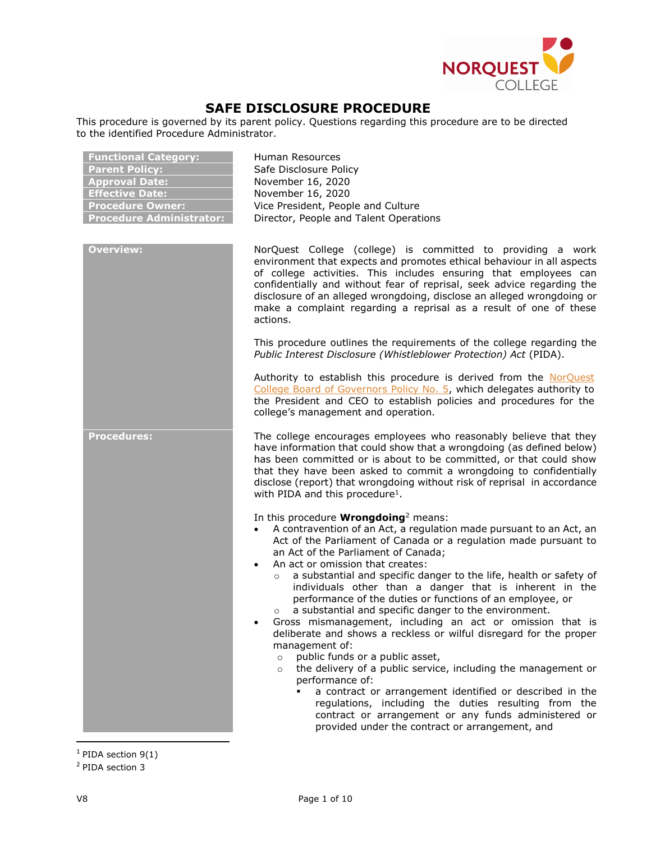

# **SAFE DISCLOSURE PROCEDURE**

This procedure is governed by its parent policy. Questions regarding this procedure are to be directed to the identified Procedure Administrator.

| <b>Functional Category:</b><br><b>Parent Policy:</b><br><b>Approval Date:</b><br><b>Effective Date:</b><br><b>Procedure Owner:</b><br><b>Procedure Administrator:</b> | Human Resources<br>Safe Disclosure Policy<br>November 16, 2020<br>November 16, 2020<br>Vice President, People and Culture<br>Director, People and Talent Operations                                                                                                                                                                                                                                                                            |
|-----------------------------------------------------------------------------------------------------------------------------------------------------------------------|------------------------------------------------------------------------------------------------------------------------------------------------------------------------------------------------------------------------------------------------------------------------------------------------------------------------------------------------------------------------------------------------------------------------------------------------|
| <b>Overview:</b>                                                                                                                                                      | NorQuest College (college) is committed to providing a work<br>environment that expects and promotes ethical behaviour in all aspects<br>of college activities. This includes ensuring that employees can<br>confidentially and without fear of reprisal, seek advice regarding the<br>disclosure of an alleged wrongdoing, disclose an alleged wrongdoing or<br>make a complaint regarding a reprisal as a result of one of these<br>actions. |
|                                                                                                                                                                       | This procedure outlines the requirements of the college regarding the<br>Public Interest Disclosure (Whistleblower Protection) Act (PIDA).                                                                                                                                                                                                                                                                                                     |
|                                                                                                                                                                       | Authority to establish this procedure is derived from the NorQuest<br>College Board of Governors Policy No. 5, which delegates authority to<br>the President and CEO to establish policies and procedures for the<br>college's management and operation.                                                                                                                                                                                       |
| <b>Procedures:</b>                                                                                                                                                    | The college encourages employees who reasonably believe that they<br>have information that could show that a wrongdoing (as defined below)<br>has been committed or is about to be committed, or that could show<br>that they have been asked to commit a wrongdoing to confidentially<br>disclose (report) that wrongdoing without risk of reprisal in accordance<br>with PIDA and this procedure <sup>1</sup> .                              |
|                                                                                                                                                                       | In this procedure <b>Wrongdoing</b> <sup>2</sup> means:<br>A contravention of an Act, a regulation made pursuant to an Act, an<br>$\bullet$<br>Act of the Parliament of Canada or a regulation made pursuant to<br>an Act of the Parliament of Canada;<br>An act or omission that creates:                                                                                                                                                     |
|                                                                                                                                                                       | a substantial and specific danger to the life, health or safety of<br>$\circ$<br>individuals other than a danger that is inherent in the<br>performance of the duties or functions of an employee, or<br>a substantial and specific danger to the environment.<br>$\circ$<br>Gross mismanagement, including an act or omission that is<br>deliberate and shows a reckless or wilful disregard for the proper<br>management of:                 |
|                                                                                                                                                                       | public funds or a public asset,<br>$\circ$<br>the delivery of a public service, including the management or<br>$\circ$<br>performance of:<br>a contract or arrangement identified or described in the<br>regulations, including the duties resulting from the<br>contract or arrangement or any funds administered or<br>provided under the contract or arrangement, and                                                                       |

 $1$  PIDA section 9(1)

<sup>2</sup> PIDA section 3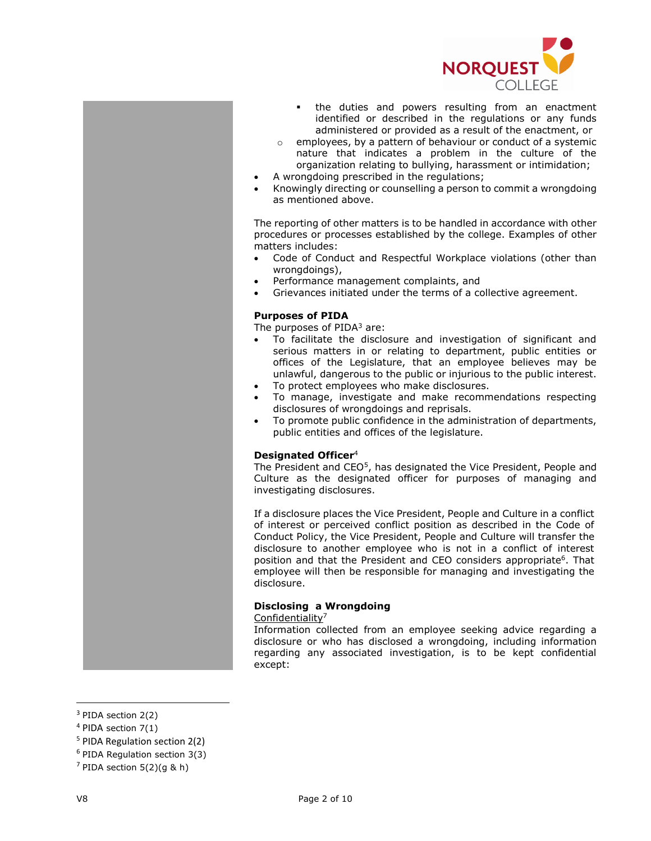

- the duties and powers resulting from an enactment identified or described in the regulations or any funds administered or provided as a result of the enactment, or
- o employees, by a pattern of behaviour or conduct of a systemic nature that indicates a problem in the culture of the organization relating to bullying, harassment or intimidation;
- A wrongdoing prescribed in the regulations;
- Knowingly directing or counselling a person to commit a wrongdoing as mentioned above.

The reporting of other matters is to be handled in accordance with other procedures or processes established by the college. Examples of other matters includes:

- Code of Conduct and Respectful Workplace violations (other than wrongdoings),
- Performance management complaints, and
- Grievances initiated under the terms of a collective agreement.

## **Purposes of PIDA**

The purposes of  $PIDA<sup>3</sup>$  are:

- To facilitate the disclosure and investigation of significant and serious matters in or relating to department, public entities or offices of the Legislature, that an employee believes may be unlawful, dangerous to the public or injurious to the public interest.
- To protect employees who make disclosures.
- To manage, investigate and make recommendations respecting disclosures of wrongdoings and reprisals.
- To promote public confidence in the administration of departments, public entities and offices of the legislature.

## **Designated Officer**<sup>4</sup>

The President and CEO<sup>5</sup>, has designated the Vice President, People and Culture as the designated officer for purposes of managing and investigating disclosures.

If a disclosure places the Vice President, People and Culture in a conflict of interest or perceived conflict position as described in the Code of Conduct Policy, the Vice President, People and Culture will transfer the disclosure to another employee who is not in a conflict of interest position and that the President and CEO considers appropriate<sup>6</sup>. That employee will then be responsible for managing and investigating the disclosure.

#### **Disclosing a Wrongdoing**

Confidentiality<sup>7</sup>

Information collected from an employee seeking advice regarding a disclosure or who has disclosed a wrongdoing, including information regarding any associated investigation, is to be kept confidential except:

 $\overline{\phantom{a}}$ 

<sup>3</sup> PIDA section 2(2)

<sup>4</sup> PIDA section 7(1)

<sup>5</sup> PIDA Regulation section 2(2)

 $6$  PIDA Regulation section 3(3)

 $7$  PIDA section 5(2)(g & h)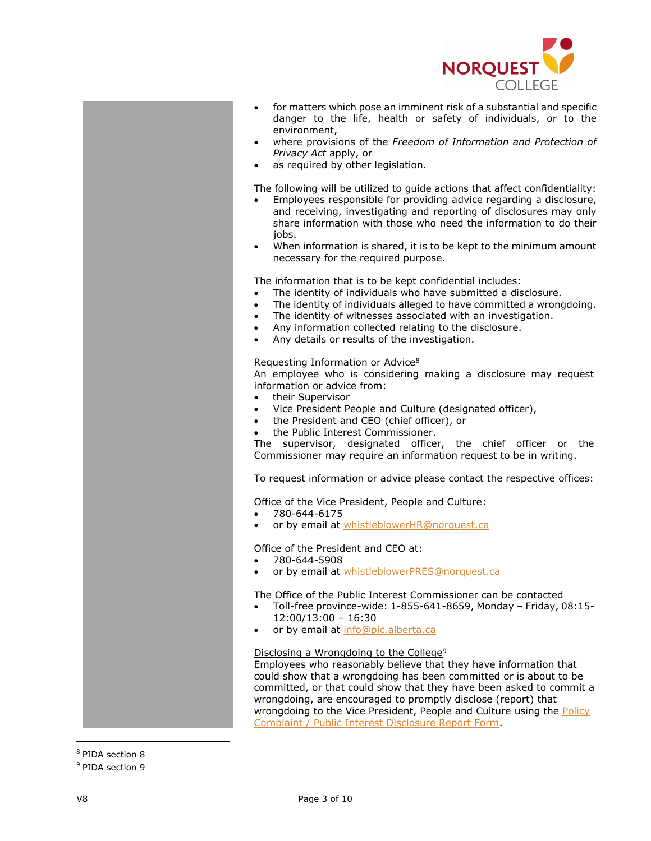

- for matters which pose an imminent risk of a substantial and specific danger to the life, health or safety of individuals, or to the environment,
- where provisions of the *Freedom of Information and Protection of Privacy Act* apply, or
- as required by other legislation.

The following will be utilized to guide actions that affect confidentiality:

- Employees responsible for providing advice regarding a disclosure, and receiving, investigating and reporting of disclosures may only share information with those who need the information to do their jobs.
- When information is shared, it is to be kept to the minimum amount necessary for the required purpose.

The information that is to be kept confidential includes:

- The identity of individuals who have submitted a disclosure.
- The identity of individuals alleged to have committed a wrongdoing.
- The identity of witnesses associated with an investigation.
- Any information collected relating to the disclosure.
- Any details or results of the investigation.

## Requesting Information or Advice<sup>8</sup>

An employee who is considering making a disclosure may request information or advice from:

- their Supervisor
- Vice President People and Culture (designated officer),
- the President and CEO (chief officer), or
- the Public Interest Commissioner.

The supervisor, designated officer, the chief officer or the Commissioner may require an information request to be in writing.

To request information or advice please contact the respective offices:

Office of the Vice President, People and Culture:

- 780-644-6175
- or by email at [whistleblowerHR@norquest.ca](mailto:whistleblowerHR@norquest.ca)

Office of the President and CEO at:

- 780-644-5908
- or by email at [whistleblowerPRES@norquest.ca](mailto:whistleblowerPRES@norquest.ca)

The Office of the Public Interest Commissioner can be contacted

- Toll-free province-wide:  $1-855-641-8659$ , Monday Friday,  $08:15-$ 12:00/13:00 – 16:30
- or by email at [info@pic.alberta.ca](mailto:info@pic.alberta.ca)

#### Disclosing a Wrongdoing to the College<sup>9</sup>

Employees who reasonably believe that they have information that could show that a wrongdoing has been committed or is about to be committed, or that could show that they have been asked to commit a wrongdoing, are encouraged to promptly disclose (report) that wrongdoing to the Vice President, People and Culture using the Policy [Complaint / Public Interest Disclosure Report Form.](https://www.norquest.ca/NorquestCollege/media/pdf/about-us/Policy-Complaint-Safe-Disclosure-Report-(002).pdf)

<sup>8</sup> PIDA section 8

<sup>9</sup> PIDA section 9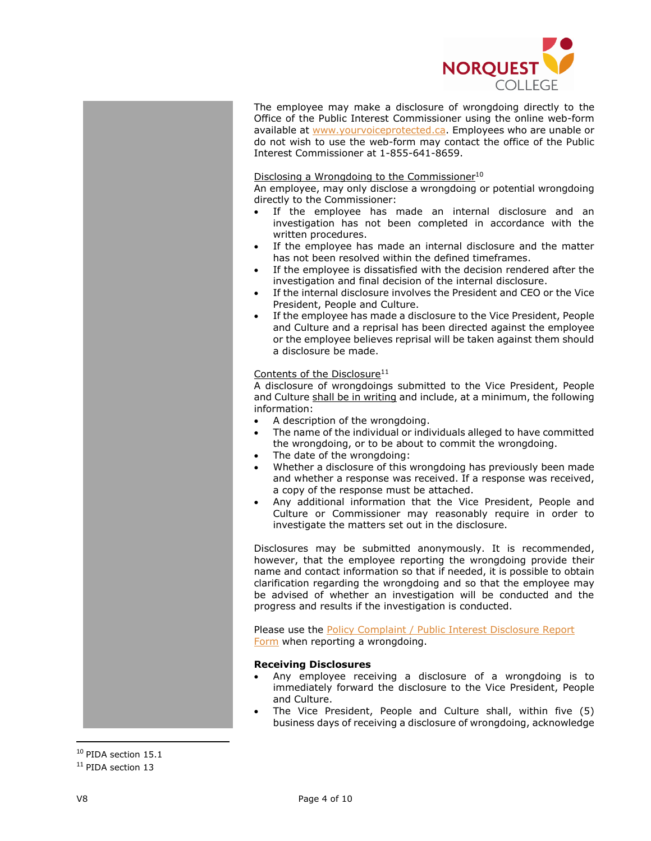

The employee may make a disclosure of wrongdoing directly to the Office of the Public Interest Commissioner using the online web-form available at [www.yourvoiceprotected.ca.](http://www.yourvoiceprotected.ca/) Employees who are unable or do not wish to use the web-form may contact the office of the Public Interest Commissioner at 1-855-641-8659.

#### Disclosing a Wrongdoing to the Commissioner<sup>10</sup>

An employee, may only disclose a wrongdoing or potential wrongdoing directly to the Commissioner:

- If the employee has made an internal disclosure and an investigation has not been completed in accordance with the written procedures.
- If the employee has made an internal disclosure and the matter has not been resolved within the defined timeframes.
- If the employee is dissatisfied with the decision rendered after the investigation and final decision of the internal disclosure.
- If the internal disclosure involves the President and CEO or the Vice President, People and Culture.
- If the employee has made a disclosure to the Vice President, People and Culture and a reprisal has been directed against the employee or the employee believes reprisal will be taken against them should a disclosure be made.

#### Contents of the Disclosure<sup>11</sup>

A disclosure of wrongdoings submitted to the Vice President, People and Culture shall be in writing and include, at a minimum, the following information:

- A description of the wrongdoing.
- The name of the individual or individuals alleged to have committed the wrongdoing, or to be about to commit the wrongdoing.
- The date of the wrongdoing:
- Whether a disclosure of this wrongdoing has previously been made and whether a response was received. If a response was received, a copy of the response must be attached.
- Any additional information that the Vice President, People and Culture or Commissioner may reasonably require in order to investigate the matters set out in the disclosure.

Disclosures may be submitted anonymously. It is recommended, however, that the employee reporting the wrongdoing provide their name and contact information so that if needed, it is possible to obtain clarification regarding the wrongdoing and so that the employee may be advised of whether an investigation will be conducted and the progress and results if the investigation is conducted.

Please use the [Policy Complaint / Public Interest Disclosure Report](https://www.norquest.ca/NorquestCollege/media/pdf/about-us/Policy-Complaint-Safe-Disclosure-Report-(002).pdf)  [Form](https://www.norquest.ca/NorquestCollege/media/pdf/about-us/Policy-Complaint-Safe-Disclosure-Report-(002).pdf) when reporting a wrongdoing.

#### **Receiving Disclosures**

- Any employee receiving a disclosure of a wrongdoing is to immediately forward the disclosure to the Vice President, People and Culture.
- The Vice President, People and Culture shall, within five (5) business days of receiving a disclosure of wrongdoing, acknowledge

<sup>&</sup>lt;sup>10</sup> PIDA section 15.1

<sup>&</sup>lt;sup>11</sup> PIDA section 13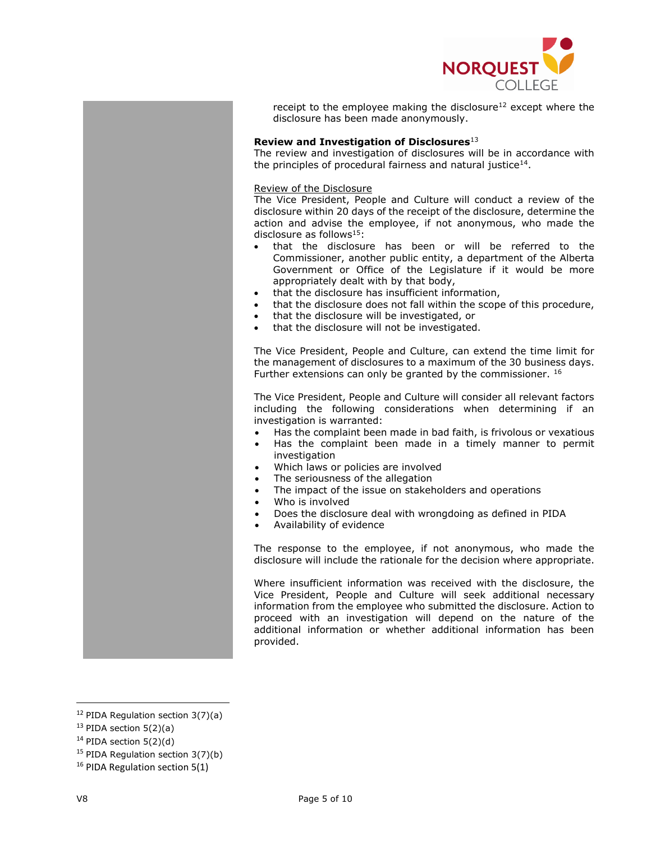

receipt to the employee making the disclosure<sup>12</sup> except where the disclosure has been made anonymously.

## **Review and Investigation of Disclosures**<sup>13</sup>

The review and investigation of disclosures will be in accordance with the principles of procedural fairness and natural justice $^{14}$ .

## Review of the Disclosure

The Vice President, People and Culture will conduct a review of the disclosure within 20 days of the receipt of the disclosure, determine the action and advise the employee, if not anonymous, who made the disclosure as follows $15$ :

- that the disclosure has been or will be referred to the Commissioner, another public entity, a department of the Alberta Government or Office of the Legislature if it would be more appropriately dealt with by that body,
- that the disclosure has insufficient information,
- that the disclosure does not fall within the scope of this procedure,
- that the disclosure will be investigated, or
- that the disclosure will not be investigated.

The Vice President, People and Culture, can extend the time limit for the management of disclosures to a maximum of the 30 business days. Further extensions can only be granted by the commissioner. <sup>16</sup>

The Vice President, People and Culture will consider all relevant factors including the following considerations when determining if an investigation is warranted:

- Has the complaint been made in bad faith, is frivolous or vexatious
- Has the complaint been made in a timely manner to permit investigation
- Which laws or policies are involved
- The seriousness of the allegation
- The impact of the issue on stakeholders and operations
- Who is involved
- Does the disclosure deal with wrongdoing as defined in PIDA
- Availability of evidence

The response to the employee, if not anonymous, who made the disclosure will include the rationale for the decision where appropriate.

Where insufficient information was received with the disclosure, the Vice President, People and Culture will seek additional necessary information from the employee who submitted the disclosure. Action to proceed with an investigation will depend on the nature of the additional information or whether additional information has been provided.

 $\overline{\phantom{a}}$ 

 $12$  PIDA Regulation section 3(7)(a)

<sup>13</sup> PIDA section 5(2)(a)

 $14$  PIDA section 5(2)(d)

<sup>&</sup>lt;sup>15</sup> PIDA Regulation section  $3(7)(b)$ 

<sup>&</sup>lt;sup>16</sup> PIDA Regulation section 5(1)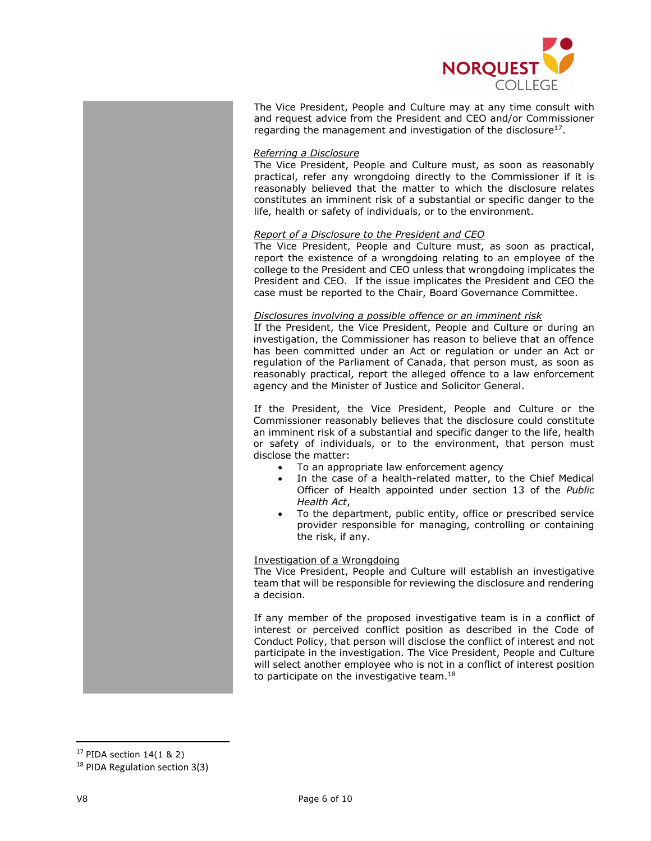

The Vice President, People and Culture may at any time consult with and request advice from the President and CEO and/or Commissioner regarding the management and investigation of the disclosure $^{17}$ .

#### *Referring a Disclosure*

The Vice President, People and Culture must, as soon as reasonably practical, refer any wrongdoing directly to the Commissioner if it is reasonably believed that the matter to which the disclosure relates constitutes an imminent risk of a substantial or specific danger to the life, health or safety of individuals, or to the environment.

#### *Report of a Disclosure to the President and CEO*

The Vice President, People and Culture must, as soon as practical, report the existence of a wrongdoing relating to an employee of the college to the President and CEO unless that wrongdoing implicates the President and CEO. If the issue implicates the President and CEO the case must be reported to the Chair, Board Governance Committee.

#### *Disclosures involving a possible offence or an imminent risk*

If the President, the Vice President, People and Culture or during an investigation, the Commissioner has reason to believe that an offence has been committed under an Act or regulation or under an Act or regulation of the Parliament of Canada, that person must, as soon as reasonably practical, report the alleged offence to a law enforcement agency and the Minister of Justice and Solicitor General.

If the President, the Vice President, People and Culture or the Commissioner reasonably believes that the disclosure could constitute an imminent risk of a substantial and specific danger to the life, health or safety of individuals, or to the environment, that person must disclose the matter:

- To an appropriate law enforcement agency
- In the case of a health-related matter, to the Chief Medical Officer of Health appointed under section 13 of the *[Public](http://www.qp.alberta.ca/documents/Acts/P37.pdf)  [Health Act](http://www.qp.alberta.ca/documents/Acts/P37.pdf)*,
- To the department, public entity, office or prescribed service provider responsible for managing, controlling or containing the risk, if any.

#### Investigation of a Wrongdoing

The Vice President, People and Culture will establish an investigative team that will be responsible for reviewing the disclosure and rendering a decision.

If any member of the proposed investigative team is in a conflict of interest or perceived conflict position as described in the Code of Conduct Policy, that person will disclose the conflict of interest and not participate in the investigation. The Vice President, People and Culture will select another employee who is not in a conflict of interest position to participate on the investigative team. $18$ 

 $17$  PIDA section 14(1 & 2)

<sup>18</sup> PIDA Regulation section 3(3)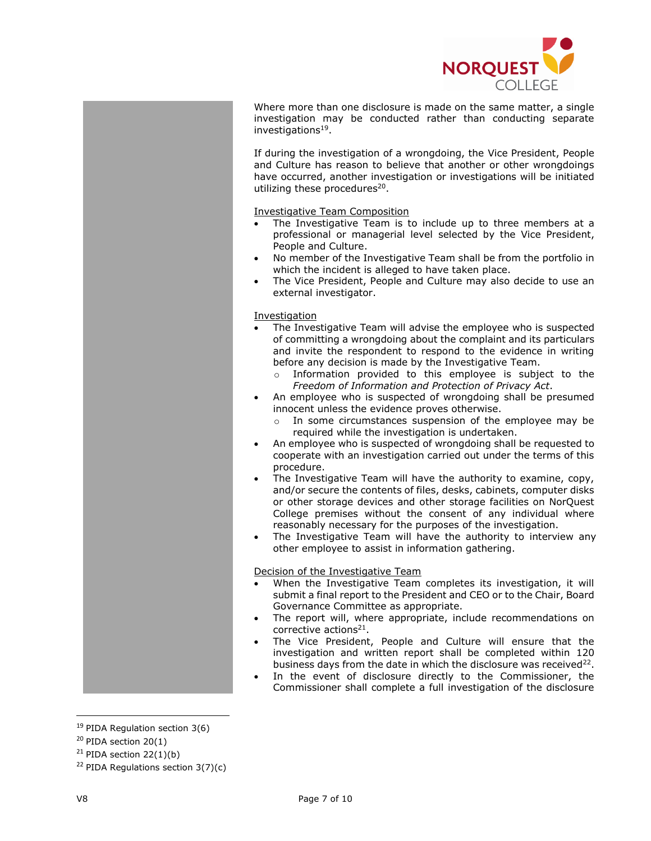

Where more than one disclosure is made on the same matter, a single investigation may be conducted rather than conducting separate investigations<sup>19</sup>.

If during the investigation of a wrongdoing, the Vice President, People and Culture has reason to believe that another or other wrongdoings have occurred, another investigation or investigations will be initiated utilizing these procedures<sup>20</sup>.

Investigative Team Composition

- The Investigative Team is to include up to three members at a professional or managerial level selected by the Vice President, People and Culture.
- No member of the Investigative Team shall be from the portfolio in which the incident is alleged to have taken place.
- The Vice President, People and Culture may also decide to use an external investigator.

#### Investigation

- The Investigative Team will advise the employee who is suspected of committing a wrongdoing about the complaint and its particulars and invite the respondent to respond to the evidence in writing before any decision is made by the Investigative Team.
	- o Information provided to this employee is subject to the *Freedom of Information and Protection of Privacy Act*.
- An employee who is suspected of wrongdoing shall be presumed innocent unless the evidence proves otherwise.
	- o In some circumstances suspension of the employee may be required while the investigation is undertaken.
- An employee who is suspected of wrongdoing shall be requested to cooperate with an investigation carried out under the terms of this procedure.
- The Investigative Team will have the authority to examine, copy, and/or secure the contents of files, desks, cabinets, computer disks or other storage devices and other storage facilities on NorQuest College premises without the consent of any individual where reasonably necessary for the purposes of the investigation.
- The Investigative Team will have the authority to interview any other employee to assist in information gathering.

#### Decision of the Investigative Team

- When the Investigative Team completes its investigation, it will submit a final report to the President and CEO or to the Chair, Board Governance Committee as appropriate.
- The report will, where appropriate, include recommendations on corrective actions<sup>21</sup>.
- The Vice President, People and Culture will ensure that the investigation and written report shall be completed within 120 business days from the date in which the disclosure was received $^{22}$ .
- In the event of disclosure directly to the Commissioner, the Commissioner shall complete a full investigation of the disclosure

 $\overline{a}$ 

<sup>&</sup>lt;sup>19</sup> PIDA Regulation section 3(6)

<sup>20</sup> PIDA section 20(1)

 $21$  PIDA section 22(1)(b)

 $22$  PIDA Regulations section 3(7)(c)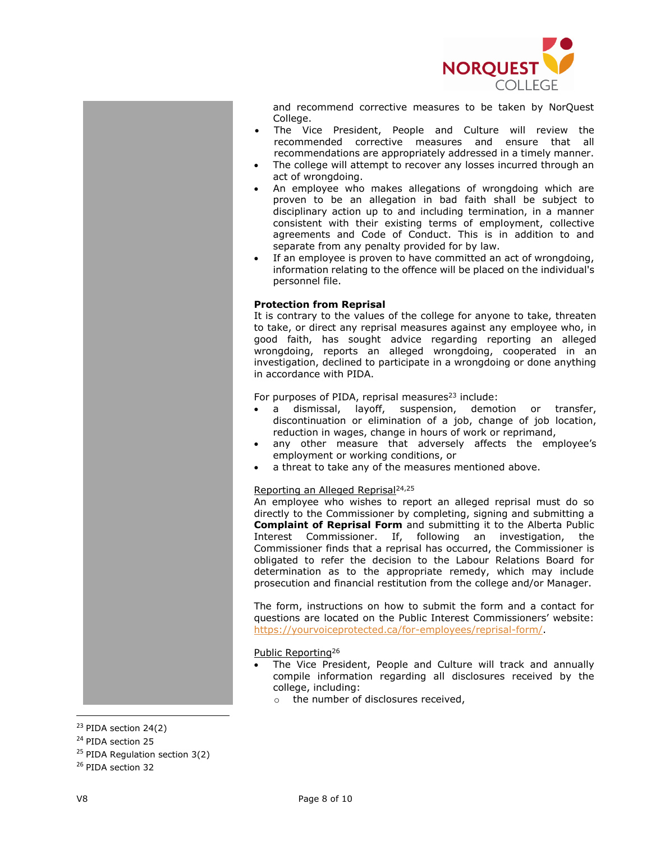

and recommend corrective measures to be taken by NorQuest College.

- The Vice President, People and Culture will review the recommended corrective measures and ensure that all recommendations are appropriately addressed in a timely manner.
- The college will attempt to recover any losses incurred through an act of wrongdoing.
- An employee who makes allegations of wrongdoing which are proven to be an allegation in bad faith shall be subject to disciplinary action up to and including termination, in a manner consistent with their existing terms of employment, collective agreements and Code of Conduct. This is in addition to and separate from any penalty provided for by law.
- If an employee is proven to have committed an act of wrongdoing, information relating to the offence will be placed on the individual's personnel file.

## **Protection from Reprisal**

It is contrary to the values of the college for anyone to take, threaten to take, or direct any reprisal measures against any employee who, in good faith, has sought advice regarding reporting an alleged wrongdoing, reports an alleged wrongdoing, cooperated in an investigation, declined to participate in a wrongdoing or done anything in accordance with PIDA.

For purposes of PIDA, reprisal measures $23$  include:

- a dismissal, layoff, suspension, demotion or transfer, discontinuation or elimination of a job, change of job location, reduction in wages, change in hours of work or reprimand,
- any other measure that adversely affects the employee's employment or working conditions, or
- a threat to take any of the measures mentioned above.

## Reporting an Alleged Reprisal<sup>24,25</sup>

An employee who wishes to report an alleged reprisal must do so directly to the Commissioner by completing, signing and submitting a **Complaint of Reprisal Form** and submitting it to the Alberta Public Interest Commissioner. If, following an investigation, the Commissioner finds that a reprisal has occurred, the Commissioner is obligated to refer the decision to the Labour Relations Board for determination as to the appropriate remedy, which may include prosecution and financial restitution from the college and/or Manager.

The form, instructions on how to submit the form and a contact for questions are located on the Public Interest Commissioners' website: [https://yourvoiceprotected.ca/for-employees/reprisal-form/.](https://yourvoiceprotected.ca/for-employees/reprisal-form/)

#### Public Reporting<sup>26</sup>

- The Vice President, People and Culture will track and annually compile information regarding all disclosures received by the college, including:
	- o the number of disclosures received,

 $\overline{a}$ 

<sup>23</sup> PIDA section 24(2)

<sup>24</sup> PIDA section 25

 $25$  PIDA Regulation section 3(2)

<sup>26</sup> PIDA section 32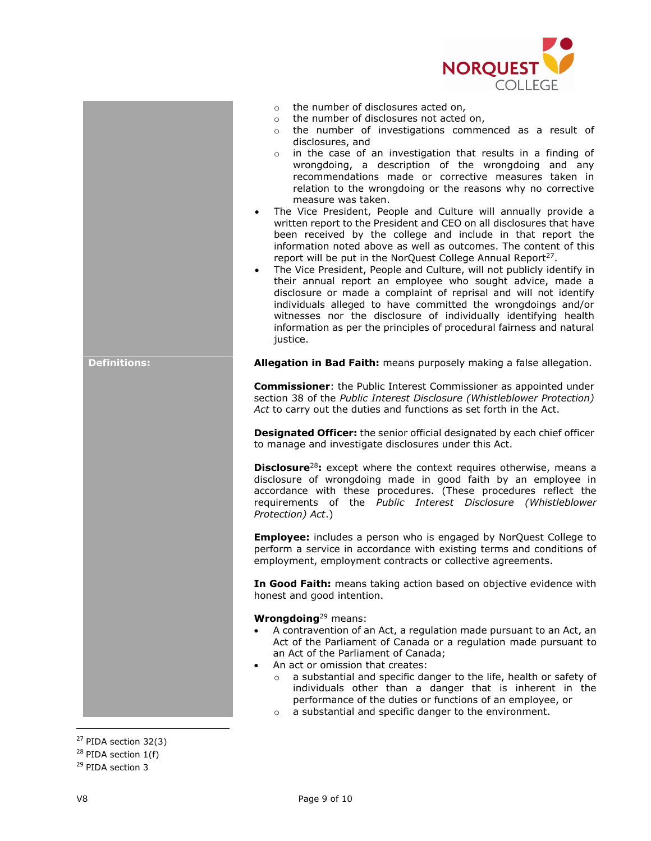

- o the number of disclosures acted on,
- o the number of disclosures not acted on,
- o the number of investigations commenced as a result of disclosures, and
- in the case of an investigation that results in a finding of wrongdoing, a description of the wrongdoing and any recommendations made or corrective measures taken in relation to the wrongdoing or the reasons why no corrective measure was taken.
- The Vice President, People and Culture will annually provide a written report to the President and CEO on all disclosures that have been received by the college and include in that report the information noted above as well as outcomes. The content of this report will be put in the NorQuest College Annual Report<sup>27</sup>.
- The Vice President, People and Culture, will not publicly identify in their annual report an employee who sought advice, made a disclosure or made a complaint of reprisal and will not identify individuals alleged to have committed the wrongdoings and/or witnesses nor the disclosure of individually identifying health information as per the principles of procedural fairness and natural justice.

**Definitions: Allegation in Bad Faith:** means purposely making a false allegation.

**Commissioner**: the Public Interest Commissioner as appointed under section 38 of the *Public Interest Disclosure (Whistleblower Protection) Act* to carry out the duties and functions as set forth in the Act.

**Designated Officer:** the senior official designated by each chief officer to manage and investigate disclosures under this Act.

**Disclosure**<sup>28</sup>**:** except where the context requires otherwise, means a disclosure of wrongdoing made in good faith by an employee in accordance with these procedures. (These procedures reflect the requirements of the *Public Interest Disclosure (Whistleblower Protection) Act*.)

**Employee:** includes a person who is engaged by NorQuest College to perform a service in accordance with existing terms and conditions of employment, employment contracts or collective agreements.

**In Good Faith:** means taking action based on objective evidence with honest and good intention.

## **Wrongdoing**<sup>29</sup> means:

- A contravention of an Act, a regulation made pursuant to an Act, an Act of the Parliament of Canada or a regulation made pursuant to an Act of the Parliament of Canada;
- An act or omission that creates:
	- o a substantial and specific danger to the life, health or safety of individuals other than a danger that is inherent in the performance of the duties or functions of an employee, or
	- a substantial and specific danger to the environment.

V8 Page 9 of 10

<sup>27</sup> PIDA section 32(3)

 $28$  PIDA section 1(f)

<sup>29</sup> PIDA section 3